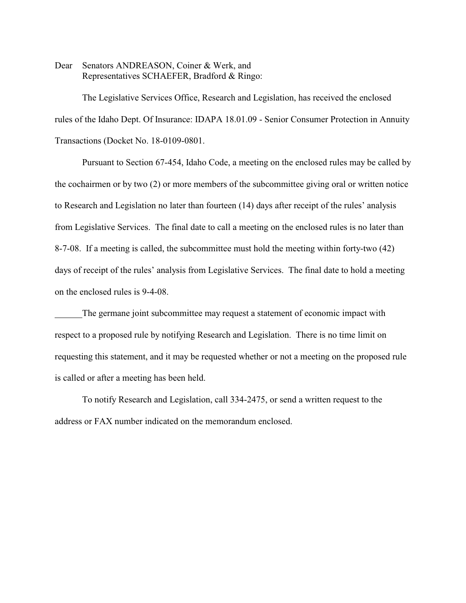Dear Senators ANDREASON, Coiner & Werk, and Representatives SCHAEFER, Bradford & Ringo:

The Legislative Services Office, Research and Legislation, has received the enclosed rules of the Idaho Dept. Of Insurance: IDAPA 18.01.09 - Senior Consumer Protection in Annuity Transactions (Docket No. 18-0109-0801.

Pursuant to Section 67-454, Idaho Code, a meeting on the enclosed rules may be called by the cochairmen or by two (2) or more members of the subcommittee giving oral or written notice to Research and Legislation no later than fourteen (14) days after receipt of the rules' analysis from Legislative Services. The final date to call a meeting on the enclosed rules is no later than 8-7-08. If a meeting is called, the subcommittee must hold the meeting within forty-two (42) days of receipt of the rules' analysis from Legislative Services. The final date to hold a meeting on the enclosed rules is 9-4-08.

The germane joint subcommittee may request a statement of economic impact with respect to a proposed rule by notifying Research and Legislation. There is no time limit on requesting this statement, and it may be requested whether or not a meeting on the proposed rule is called or after a meeting has been held.

To notify Research and Legislation, call 334-2475, or send a written request to the address or FAX number indicated on the memorandum enclosed.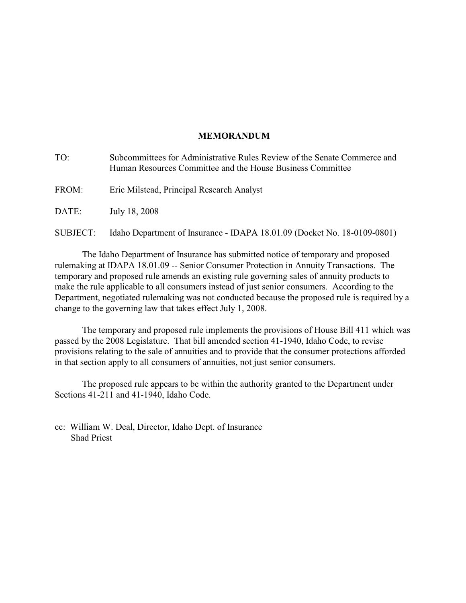# **MEMORANDUM**

| TO:      | Subcommittees for Administrative Rules Review of the Senate Commerce and<br>Human Resources Committee and the House Business Committee |
|----------|----------------------------------------------------------------------------------------------------------------------------------------|
| FROM:    | Eric Milstead, Principal Research Analyst                                                                                              |
| DATE:    | July 18, 2008                                                                                                                          |
| SUBJECT: | Idaho Department of Insurance - IDAPA 18.01.09 (Docket No. 18-0109-0801)                                                               |

The Idaho Department of Insurance has submitted notice of temporary and proposed rulemaking at IDAPA 18.01.09 -- Senior Consumer Protection in Annuity Transactions. The temporary and proposed rule amends an existing rule governing sales of annuity products to make the rule applicable to all consumers instead of just senior consumers. According to the Department, negotiated rulemaking was not conducted because the proposed rule is required by a change to the governing law that takes effect July 1, 2008.

The temporary and proposed rule implements the provisions of House Bill 411 which was passed by the 2008 Legislature. That bill amended section 41-1940, Idaho Code, to revise provisions relating to the sale of annuities and to provide that the consumer protections afforded in that section apply to all consumers of annuities, not just senior consumers.

The proposed rule appears to be within the authority granted to the Department under Sections 41-211 and 41-1940, Idaho Code.

cc: William W. Deal, Director, Idaho Dept. of Insurance Shad Priest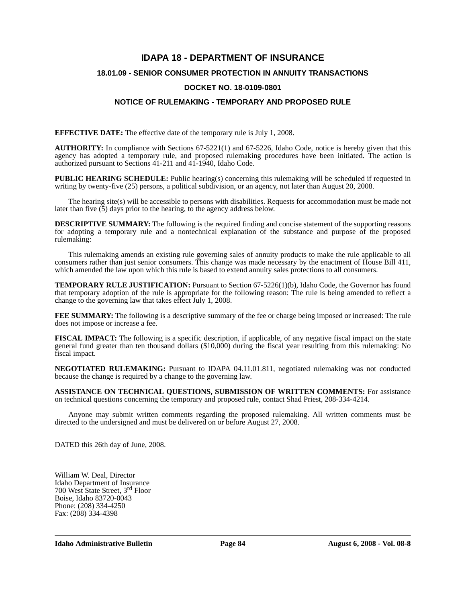# **IDAPA 18 - DEPARTMENT OF INSURANCE**

# **18.01.09 - SENIOR CONSUMER PROTECTION IN ANNUITY TRANSACTIONS**

## **DOCKET NO. 18-0109-0801**

# **NOTICE OF RULEMAKING - TEMPORARY AND PROPOSED RULE**

**EFFECTIVE DATE:** The effective date of the temporary rule is July 1, 2008.

**AUTHORITY:** In compliance with Sections 67-5221(1) and 67-5226, Idaho Code, notice is hereby given that this agency has adopted a temporary rule, and proposed rulemaking procedures have been initiated. The action is authorized pursuant to Sections 41-211 and 41-1940, Idaho Code.

**PUBLIC HEARING SCHEDULE:** Public hearing(s) concerning this rulemaking will be scheduled if requested in writing by twenty-five (25) persons, a political subdivision, or an agency, not later than August 20, 2008.

The hearing site(s) will be accessible to persons with disabilities. Requests for accommodation must be made not later than five  $(5)$  days prior to the hearing, to the agency address below.

**DESCRIPTIVE SUMMARY:** The following is the required finding and concise statement of the supporting reasons for adopting a temporary rule and a nontechnical explanation of the substance and purpose of the proposed rulemaking:

This rulemaking amends an existing rule governing sales of annuity products to make the rule applicable to all consumers rather than just senior consumers. This change was made necessary by the enactment of House Bill 411, which amended the law upon which this rule is based to extend annuity sales protections to all consumers.

**TEMPORARY RULE JUSTIFICATION:** Pursuant to Section 67-5226(1)(b), Idaho Code, the Governor has found that temporary adoption of the rule is appropriate for the following reason: The rule is being amended to reflect a change to the governing law that takes effect July 1, 2008.

**FEE SUMMARY:** The following is a descriptive summary of the fee or charge being imposed or increased: The rule does not impose or increase a fee.

**FISCAL IMPACT:** The following is a specific description, if applicable, of any negative fiscal impact on the state general fund greater than ten thousand dollars (\$10,000) during the fiscal year resulting from this rulemaking: No fiscal impact.

**NEGOTIATED RULEMAKING:** Pursuant to IDAPA 04.11.01.811, negotiated rulemaking was not conducted because the change is required by a change to the governing law.

**ASSISTANCE ON TECHNICAL QUESTIONS, SUBMISSION OF WRITTEN COMMENTS:** For assistance on technical questions concerning the temporary and proposed rule, contact Shad Priest, 208-334-4214.

Anyone may submit written comments regarding the proposed rulemaking. All written comments must be directed to the undersigned and must be delivered on or before August 27, 2008.

DATED this 26th day of June, 2008.

William W. Deal, Director Idaho Department of Insurance 700 West State Street, 3rd Floor Boise, Idaho 83720-0043 Phone: (208) 334-4250 Fax: (208) 334-4398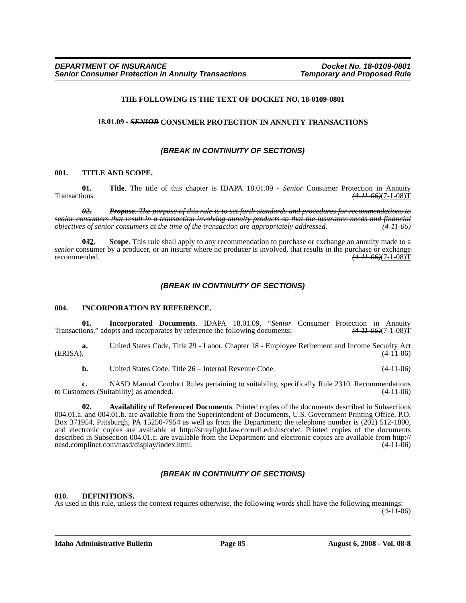#### **THE FOLLOWING IS THE TEXT OF DOCKET NO. 18-0109-0801**

#### **18.01.09 -** *SENIOR* **CONSUMER PROTECTION IN ANNUITY TRANSACTIONS**

#### *(BREAK IN CONTINUITY OF SECTIONS)*

#### **001. TITLE AND SCOPE.**

**01. Title**. The title of this chapter is IDAPA 18.01.09 - *Senior* Consumer Protection in Annuity Transactions. *(4-11-06)*(7-1-08)T

*02. Propose. The purpose of this rule is to set forth standards and procedures for recommendations to senior consumers that result in a transaction involving annuity products so that the insurance needs and financial objectives of senior consumers at the time of the transaction are appropriately addressed. (4-11-06)*

**0***3***2. Scope**. This rule shall apply to any recommendation to purchase or exchange an annuity made to a *senior* consumer by a producer, or an insurer where no producer is involved, that results in the purchase or exchange recommended. *(4-11-06)*(7-1-08)T

#### *(BREAK IN CONTINUITY OF SECTIONS)*

#### **004. INCORPORATION BY REFERENCE.**

**01. Incorporated Documents**. IDAPA 18.01.09, "*Senior* Consumer Protection in Annuity ions," adopts and incorporates by reference the following documents;  $(4-11-06)(7-1-08)T$ Transactions," adopts and incorporates by reference the following documents;

**a.** United States Code, Title 29 - Labor, Chapter 18 - Employee Retirement and Income Security Act  $(4-11-06)$ 

**b.** United States Code, Title 26 – Internal Revenue Code. (4-11-06)

**c.** NASD Manual Conduct Rules pertaining to suitability, specifically Rule 2310. Recommendations to Customers (Suitability) as amended. (4-11-06)

**02. Availability of Referenced Documents**. Printed copies of the documents described in Subsections 004.01.a. and 004.01.b. are available from the Superintendent of Documents, U.S. Government Printing Office, P.O. Box 371954, Pittsburgh, PA 15250-7954 as well as from the Department; the telephone number is (202) 512-1800, and electronic copies are available at http://straylight.law.cornell.edu/uscode/. Printed copies of the documents described in Subsection 004.01.c. are available from the Department and electronic copies are available from http:// nasd.complinet.com/nasd/display/index.html. (4-11-06)

### *(BREAK IN CONTINUITY OF SECTIONS)*

#### **010. DEFINITIONS.**

As used in this rule, unless the context requires otherwise, the following words shall have the following meanings:

(4-11-06)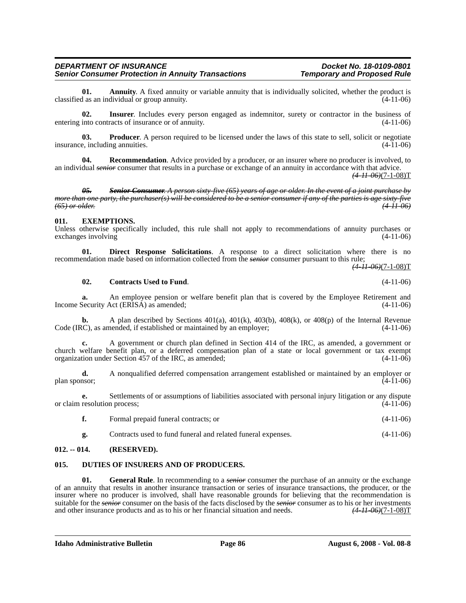#### *DEPARTMENT OF INSURANCE Docket No. 18-0109-0801* **Senior Consumer Protection in Annuity Transactions**

**01.** Annuity A fixed annuity or variable annuity that is individually solicited, whether the product is an individual or group annuity. classified as an individual or group annuity.

**02. Insurer**. Includes every person engaged as indemnitor, surety or contractor in the business of entering into contracts of insurance or of annuity. (4-11-06)

**03. Producer**. A person required to be licensed under the laws of this state to sell, solicit or negotiate e. including annuities. (4-11-06) insurance, including annuities.

**04. Recommendation**. Advice provided by a producer, or an insurer where no producer is involved, to an individual *senior* consumer that results in a purchase or exchange of an annuity in accordance with that advice. *(4-11-06)*(7-1-08)T

*05. Senior Consumer. A person sixty-five (65) years of age or older. In the event of a joint purchase by more than one party, the purchaser(s) will be considered to be a senior consumer if any of the parties is age sixty-five (65) or older. (4-11-06)*

#### **011. EXEMPTIONS.**

Unless otherwise specifically included, this rule shall not apply to recommendations of annuity purchases or exchanges involving (4-11-06)

**01. Direct Response Solicitations**. A response to a direct solicitation where there is no recommendation made based on information collected from the *senior* consumer pursuant to this rule;

*(4-11-06)*(7-1-08)T

#### **02. Contracts Used to Fund**. (4-11-06)

**a.** An employee pension or welfare benefit plan that is covered by the Employee Retirement and Income Security Act (ERISA) as amended; (4-11-06)

**b.** A plan described by Sections 401(a), 401(k), 403(b), 408(k), or 408(p) of the Internal Revenue Code (IRC), as amended, if established or maintained by an employer; (4-11-06)

**c.** A government or church plan defined in Section 414 of the IRC, as amended, a government or church welfare benefit plan, or a deferred compensation plan of a state or local government or tax exempt organization under Section 457 of the IRC, as amended; (4-11-06)

**d.** A nonqualified deferred compensation arrangement established or maintained by an employer or plan sponsor; (4-11-06)

**e.** Settlements of or assumptions of liabilities associated with personal injury litigation or any dispute or claim resolution process; (4-11-06)

| Formal prepaid funeral contracts; or | $(4-11-06)$ |
|--------------------------------------|-------------|
|--------------------------------------|-------------|

**g.** Contracts used to fund funeral and related funeral expenses. (4-11-06)

#### **012. -- 014. (RESERVED).**

### **015. DUTIES OF INSURERS AND OF PRODUCERS.**

**General Rule**. In recommending to a *senior* consumer the purchase of an annuity or the exchange of an annuity that results in another insurance transaction or series of insurance transactions, the producer, or the insurer where no producer is involved, shall have reasonable grounds for believing that the recommendation is suitable for the *senior* consumer on the basis of the facts disclosed by the *senior* consumer as to his or her investments and other insurance products and as to his or her financial situation and needs.  $(4.11.06)(7-1.08$ and other insurance products and as to his or her financial situation and needs.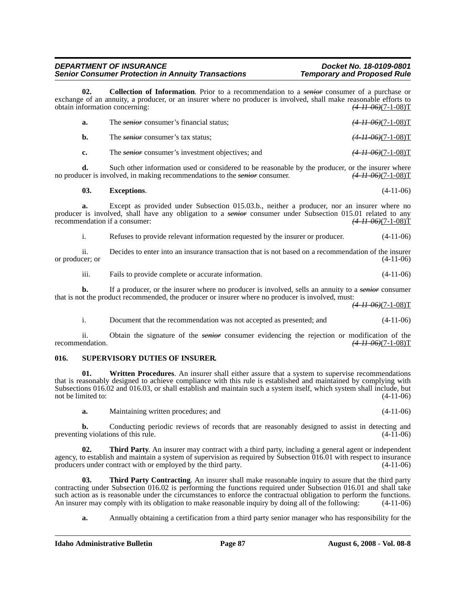#### *DEPARTMENT OF INSURANCE Docket No. 18-0109-0801* **Senior Consumer Protection in Annuity Transactions**

**02. Collection of Information**. Prior to a recommendation to a *senior* consumer of a purchase or exchange of an annuity, a producer, or an insurer where no producer is involved, shall make reasonable efforts to obtain information concerning: *(4-11-06)*(7-1-08)T

| а. | The <i>senior</i> consumer's financial status:          | $\frac{(4-11\cdot 06)(7-1\cdot 08)}{T}$ |
|----|---------------------------------------------------------|-----------------------------------------|
| b. | The <i>senior</i> consumer's tax status;                | <del>(4-11-06)</del> (7-1-08)T          |
|    | The <i>senior</i> consumer's investment objectives; and | $\frac{(4 - 11 - 06)}{(7 - 1 - 08)}$ T  |

**d.** Such other information used or considered to be reasonable by the producer, or the insurer where the involved, in making recommendations to the *senior* consumer.  $(4-11-06)(7-1-08)T$ no producer is involved, in making recommendations to the *senior* consumer.

### **03. Exceptions**. (4-11-06)

**a.** Except as provided under Subsection 015.03.b., neither a producer, nor an insurer where no producer is involved, shall have any obligation to a *senior* consumer under Subsection 015.01 related to any recommendation if a consumer:<br>(4.11.06)(7.1.08) recommendation if a consumer:

i. Refuses to provide relevant information requested by the insurer or producer. (4-11-06)

ii. Decides to enter into an insurance transaction that is not based on a recommendation of the insurer or producer; or

iii. Fails to provide complete or accurate information. (4-11-06)

**b.** If a producer, or the insurer where no producer is involved, sells an annuity to a *senior* consumer that is not the product recommended, the producer or insurer where no producer is involved, must:

*(4-11-06)*(7-1-08)T

i. Document that the recommendation was not accepted as presented; and (4-11-06)

ii. Obtain the signature of the *senior* consumer evidencing the rejection or modification of the recommendation. (4-11-06)(7-1-08) recommendation. *(4-11-06)*(7-1-08)T

#### **016. SUPERVISORY DUTIES OF INSURER.**

**01.** Written Procedures. An insurer shall either assure that a system to supervise recommendations that is reasonably designed to achieve compliance with this rule is established and maintained by complying with Subsections 016.02 and 016.03, or shall establish and maintain such a system itself, which system shall include, but not be limited to:  $(4-11-06)$ 

**a.** Maintaining written procedures; and (4-11-06)

**b.** Conducting periodic reviews of records that are reasonably designed to assist in detecting and ng violations of this rule. (4-11-06) preventing violations of this rule.

**Third Party**. An insurer may contract with a third party, including a general agent or independent agency, to establish and maintain a system of supervision as required by Subsection  $016.01$  with respect to insurance producers under contract with or employed by the third party.  $(4-11-06)$ producers under contract with or employed by the third party.

**03.** Third Party Contracting. An insurer shall make reasonable inquiry to assure that the third party contracting under Subsection 016.02 is performing the functions required under Subsection 016.01 and shall take such action as is reasonable under the circumstances to enforce the contractual obligation to perform the functions.<br>An insurer may comply with its obligation to make reasonable inquiry by doing all of the following: (4-11 An insurer may comply with its obligation to make reasonable inquiry by doing all of the following:

**a.** Annually obtaining a certification from a third party senior manager who has responsibility for the